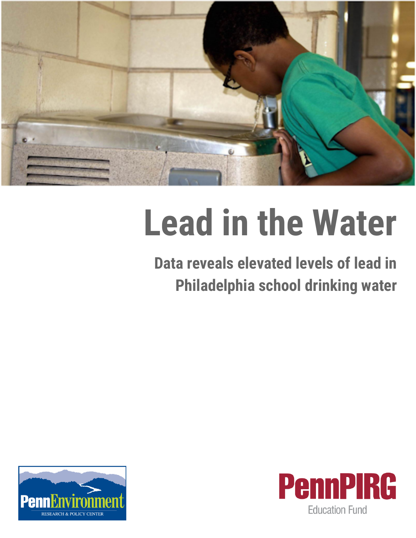

# **Lead in the Water**

**Data reveals elevated levels of lead in Philadelphia school drinking water**



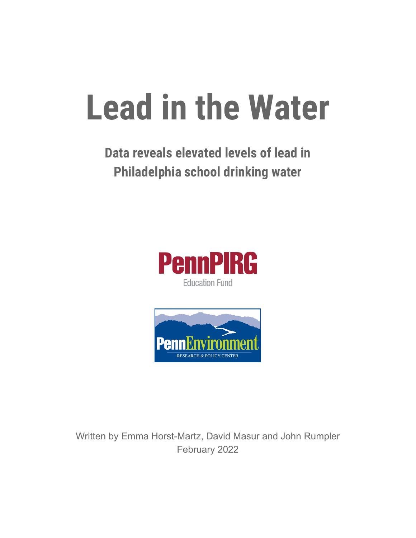# **Lead in the Water**

### **Data reveals elevated levels of lead in Philadelphia school drinking water**





Written by Emma Horst-Martz, David Masur and John Rumpler February 2022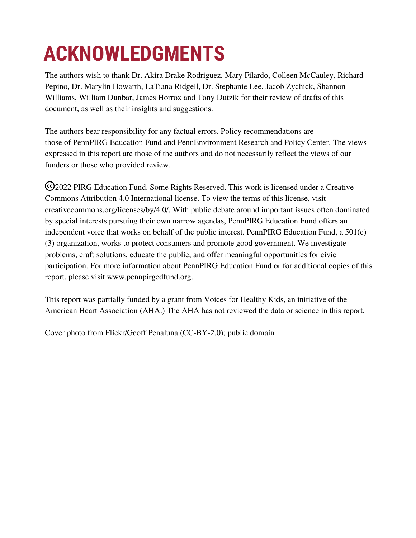## **ACKNOWLEDGMENTS**

The authors wish to thank Dr. Akira Drake Rodriguez, Mary Filardo, Colleen McCauley, Richard Pepino, Dr. Marylin Howarth, LaTiana Ridgell, Dr. Stephanie Lee, Jacob Zychick, Shannon Williams, William Dunbar, James Horrox and Tony Dutzik for their review of drafts of this document, as well as their insights and suggestions.

The authors bear responsibility for any factual errors. Policy recommendations are those of PennPIRG Education Fund and PennEnvironment Research and Policy Center. The views expressed in this report are those of the authors and do not necessarily reflect the views of our funders or those who provided review.

2022 PIRG Education Fund. Some Rights Reserved. This work is licensed under a Creative Commons Attribution 4.0 International license. To view the terms of this license, visit creativecommons.org/licenses/by/4.0/. With public debate around important issues often dominated by special interests pursuing their own narrow agendas, PennPIRG Education Fund offers an independent voice that works on behalf of the public interest. PennPIRG Education Fund, a 501(c) (3) organization, works to protect consumers and promote good government. We investigate problems, craft solutions, educate the public, and offer meaningful opportunities for civic participation. For more information about PennPIRG Education Fund or for additional copies of this report, please visit www.pennpirgedfund.org.

This report was partially funded by a grant from Voices for Healthy Kids, an initiative of the American Heart Association (AHA.) The AHA has not reviewed the data or science in this report.

Cover photo from Flickr/Geoff Penaluna (CC-BY-2.0); public domain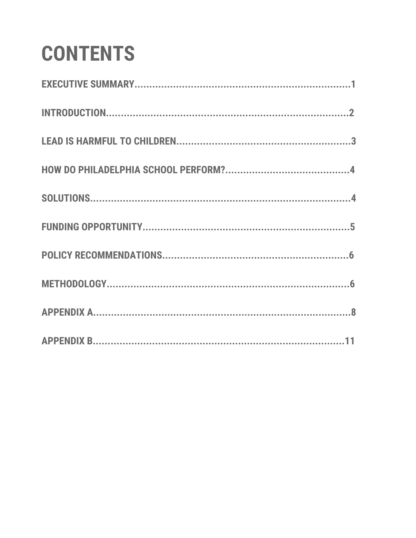## **CONTENTS**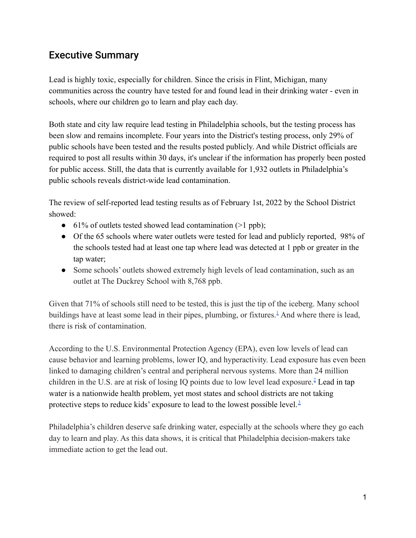#### Executive Summary

Lead is highly toxic, especially for children. Since the crisis in Flint, Michigan, many communities across the country have tested for and found lead in their drinking water - even in schools, where our children go to learn and play each day.

Both state and city law require lead testing in Philadelphia schools, but the testing process has been slow and remains incomplete. Four years into the District's testing process, only 29% of public schools have been tested and the results posted publicly. And while District officials are required to post all results within 30 days, it's unclear if the information has properly been posted for public access. Still, the data that is currently available for 1,932 outlets in Philadelphia's public schools reveals district-wide lead contamination.

The review of self-reported lead testing results as of February 1st, 2022 by the School District showed:

- $\bullet$  61% of outlets tested showed lead contamination (>1 ppb);
- Of the 65 schools where water outlets were tested for lead and publicly reported, 98% of the schools tested had at least one tap where lead was detected at 1 ppb or greater in the tap water;
- Some schools' outlets showed extremely high levels of lead contamination, such as an outlet at The Duckrey School with 8,768 ppb.

Given that 71% of schools still need to be tested, this is just the tip of the iceberg. Many school buildings have at least some lead in their pipes, plumbing, or fixtures.<sup>1</sup> And where there is lead, there is risk of contamination.

According to the U.S. Environmental Protection Agency (EPA), even low levels of lead can cause behavior and learning problems, lower IQ, and hyperactivity. Lead exposure has even been linked to damaging children's central and peripheral nervous systems. More than 24 million children in the U.S. are at risk of losing IO points due to low level lead exposure.<sup>2</sup> Lead in tap water is a nationwide health problem, yet most states and school districts are not taking protective steps to reduce kids' exposure to lead to the lowest possible level. $3$ 

Philadelphia's children deserve safe drinking water, especially at the schools where they go each day to learn and play. As this data shows, it is critical that Philadelphia decision-makers take immediate action to get the lead out.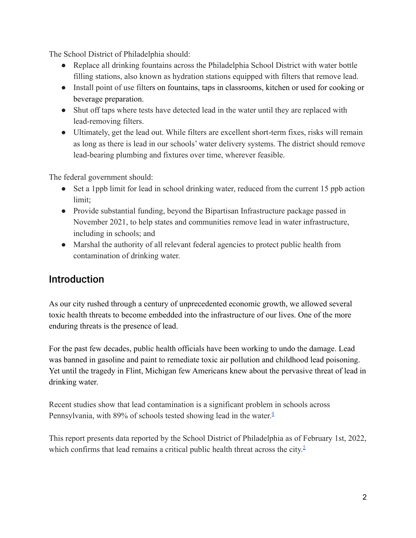The School District of Philadelphia should:

- Replace all drinking fountains across the Philadelphia School District with water bottle filling stations, also known as hydration stations equipped with filters that remove lead.
- Install point of use filters on fountains, taps in classrooms, kitchen or used for cooking or beverage preparation.
- Shut off taps where tests have detected lead in the water until they are replaced with lead-removing filters.
- Ultimately, get the lead out. While filters are excellent short-term fixes, risks will remain as long as there is lead in our schools' water delivery systems. The district should remove lead-bearing plumbing and fixtures over time, wherever feasible.

The federal government should:

- Set a 1ppb limit for lead in school drinking water, reduced from the current 15 ppb action limit<sup>-</sup>
- Provide substantial funding, beyond the Bipartisan Infrastructure package passed in November 2021, to help states and communities remove lead in water infrastructure, including in schools; and
- Marshal the authority of all relevant federal agencies to protect public health from contamination of drinking water.

#### Introduction

As our city rushed through a century of unprecedented economic growth, we allowed several toxic health threats to become embedded into the infrastructure of our lives. One of the more enduring threats is the presence of lead.

For the past few decades, public health officials have been working to undo the damage. Lead was banned in gasoline and paint to remediate toxic air pollution and childhood lead poisoning. Yet until the tragedy in Flint, Michigan few Americans knew about the pervasive threat of lead in drinking water.

Recent studies show that lead contamination is a significant problem in schools across Pennsylvania, with 89% of schools tested showing lead in the water.<sup>4</sup>

This report presents data reported by the School District of Philadelphia as of February 1st, 2022, which confirms that lead remains a critical public health threat across the city. $\frac{5}{2}$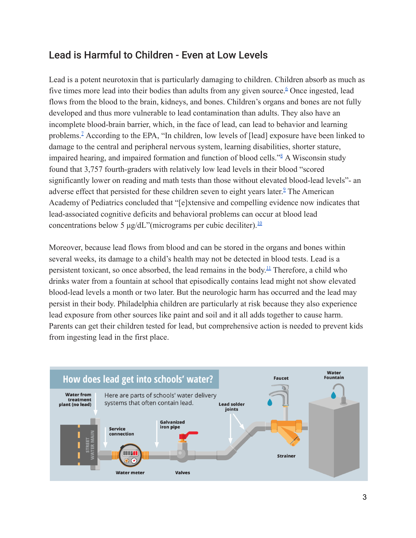#### Lead is Harmful to Children - Even at Low Levels

Lead is a potent neurotoxin that is particularly damaging to children. Children absorb as much as five times more lead into their bodies than adults from any given source.<sup>6</sup> Once ingested, lead flows from the blood to the brain, kidneys, and bones. Children's organs and bones are not fully developed and thus more vulnerable to lead contamination than adults. They also have an incomplete blood-brain barrier, which, in the face of lead, can lead to behavior and learning problems.<sup>7</sup> According to the EPA, "In children, low levels of [lead] exposure have been linked to damage to the central and peripheral nervous system, learning disabilities, shorter stature, impaired hearing, and impaired formation and function of blood cells."<sup>8</sup> A Wisconsin study found that 3,757 fourth-graders with relatively low lead levels in their blood "scored significantly lower on reading and math tests than those without elevated blood-lead levels"- an adverse effect that persisted for these children seven to eight years later.<sup>2</sup> The American Academy of Pediatrics concluded that "[e]xtensive and compelling evidence now indicates that lead-associated cognitive deficits and behavioral problems can occur at blood lead concentrations below 5 μg/dL"(micrograms per cubic deciliter). $\frac{10}{10}$ 

Moreover, because lead flows from blood and can be stored in the organs and bones within several weeks, its damage to a child's health may not be detected in blood tests. Lead is a persistent toxicant, so once absorbed, the lead remains in the body.<sup>11</sup> Therefore, a child who drinks water from a fountain at school that episodically contains lead might not show elevated blood-lead levels a month or two later. But the neurologic harm has occurred and the lead may persist in their body. Philadelphia children are particularly at risk because they also experience lead exposure from other sources like paint and soil and it all adds together to cause harm. Parents can get their children tested for lead, but comprehensive action is needed to prevent kids from ingesting lead in the first place.

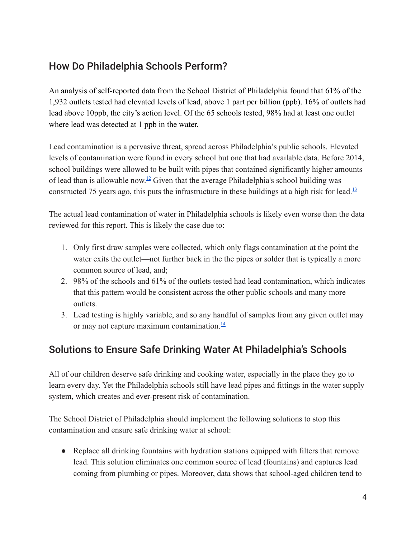#### How Do Philadelphia Schools Perform?

An analysis of self-reported data from the School District of Philadelphia found that 61% of the 1,932 outlets tested had elevated levels of lead, above 1 part per billion (ppb). 16% of outlets had lead above 10ppb, the city's action level. Of the 65 schools tested, 98% had at least one outlet where lead was detected at 1 ppb in the water.

Lead contamination is a pervasive threat, spread across Philadelphia's public schools. Elevated levels of contamination were found in every school but one that had available data. Before 2014, school buildings were allowed to be built with pipes that contained significantly higher amounts of lead than is allowable now.<sup>12</sup> Given that the average Philadelphia's school building was constructed 75 years ago, this puts the infrastructure in these buildings at a high risk for lead.<sup>13</sup>

The actual lead contamination of water in Philadelphia schools is likely even worse than the data reviewed for this report. This is likely the case due to:

- 1. Only first draw samples were collected, which only flags contamination at the point the water exits the outlet—not further back in the the pipes or solder that is typically a more common source of lead, and;
- 2. 98% of the schools and 61% of the outlets tested had lead contamination, which indicates that this pattern would be consistent across the other public schools and many more outlets.
- 3. Lead testing is highly variable, and so any handful of samples from any given outlet may or may not capture maximum contamination. $\frac{14}{1}$

#### Solutions to Ensure Safe Drinking Water At Philadelphia's Schools

All of our children deserve safe drinking and cooking water, especially in the place they go to learn every day. Yet the Philadelphia schools still have lead pipes and fittings in the water supply system, which creates and ever-present risk of contamination.

The School District of Philadelphia should implement the following solutions to stop this contamination and ensure safe drinking water at school:

• Replace all drinking fountains with hydration stations equipped with filters that remove lead. This solution eliminates one common source of lead (fountains) and captures lead coming from plumbing or pipes. Moreover, data shows that school-aged children [tend to](https://voicesforhealthykids.org/assets/resources/water-access-in-schools-fast-facts---february-2020-1582746312.pdf)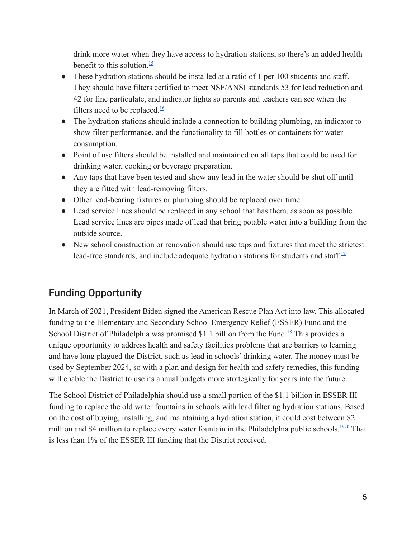[drink more water](https://voicesforhealthykids.org/assets/resources/water-access-in-schools-fast-facts---february-2020-1582746312.pdf) when they have access to hydration stations, so there's an added health benefit to this solution.<sup>15</sup>

- These hydration stations should be installed at a ratio of 1 per 100 students and staff. They should have filters certified to meet NSF/ANSI [standards 53 for lead reduction and](https://www.epa.gov/sites/default/files/2018-12/documents/consumer_tool_for_identifying_drinking_water_filters_certified_to_reduce_lead.pdf) [42 for fine particulate](https://www.epa.gov/sites/default/files/2018-12/documents/consumer_tool_for_identifying_drinking_water_filters_certified_to_reduce_lead.pdf), and indicator lights so parents and teachers can see when the filters need to be replaced. $\frac{16}{16}$
- The hydration stations should include a connection to building plumbing, an indicator to show filter performance, and the functionality to fill bottles or containers for water consumption.
- Point of use filters should be installed and maintained on all taps that could be used for drinking water, cooking or beverage preparation.
- Any taps that have been tested and show any lead in the water should be shut off until they are fitted with lead-removing filters.
- Other lead-bearing fixtures or plumbing should be replaced over time.
- Lead service lines should be replaced in any school that has them, as soon as possible. Lead service lines are pipes made of lead that bring potable water into a building from the outside source.
- New school construction or renovation should use taps and fixtures that meet the [strictest](https://calpirg.org/news/cap/statement-gov-newsom-signs-bill-create-nations-most-stringent-lead-leaching-limit-faucets) [lead-free standards,](https://calpirg.org/news/cap/statement-gov-newsom-signs-bill-create-nations-most-stringent-lead-leaching-limit-faucets) and include adequate hydration stations for students and staff. $\frac{17}{12}$

#### Funding Opportunity

In March of 2021, President Biden signed the American Rescue Plan Act into law. This allocated funding to the Elementary and Secondary School Emergency Relief (ESSER) Fund and the School District of Philadelphia was promised \$1.1 billion from the Fund.<sup>18</sup> This provides a unique opportunity to address health and safety facilities problems that are barriers to learning and have long plagued the District, such as lead in schools' drinking water. The money must be used by September 2024, so with a plan and design for health and safety remedies, this funding will enable the District to use its annual budgets more strategically for years into the future.

The School District of Philadelphia should use a small portion of the \$1.1 billion in ESSER III funding to replace the old water fountains in schools with lead filtering hydration stations. Based on the cost of buying, installing, and maintaining a hydration station, it could cost between \$2 million and \$4 million to replace every water fountain in the Philadelphia public schools.<sup>1920</sup> That is less than 1% of the ESSER III funding that the District received.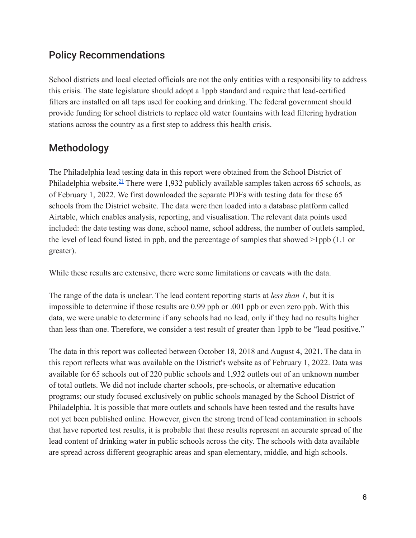#### Policy Recommendations

School districts and local elected officials are not the only entities with a responsibility to address this crisis. The state legislature should adopt a 1ppb standard and require that lead-certified filters are installed on all taps used for cooking and drinking. The federal government should provide funding for school districts to replace old water fountains with lead filtering hydration stations across the country as a first step to address this health crisis.

#### Methodology

The Philadelphia lead testing data in this report were obtained from the School District of Philadelphia website.<sup>21</sup> There were 1,932 publicly available samples taken across 65 schools, as of February 1, 2022. We first downloaded the separate PDFs with testing data for these 65 schools from the District website. The data were then loaded into a database platform called Airtable, which enables analysis, reporting, and visualisation. The relevant data points used included: the date testing was done, school name, school address, the number of outlets sampled, the level of lead found listed in ppb, and the percentage of samples that showed >1ppb (1.1 or greater).

While these results are extensive, there were some limitations or caveats with the data.

The range of the data is unclear. The lead content reporting starts at *less than 1*, but it is impossible to determine if those results are 0.99 ppb or .001 ppb or even zero ppb. With this data, we were unable to determine if any schools had no lead, only if they had no results higher than less than one. Therefore, we consider a test result of greater than 1ppb to be "lead positive."

The data in this report was collected between October 18, 2018 and August 4, 2021. The data in this report reflects what was available on the District's website as of February 1, 2022. Data was available for 65 schools out of 220 public schools and 1,932 outlets out of an unknown number of total outlets. We did not include charter schools, pre-schools, or alternative education programs; our study focused exclusively on public schools managed by the School District of Philadelphia. It is possible that more outlets and schools have been tested and the results have not yet been published online. However, given the strong trend of lead contamination in schools that have reported test results, it is probable that these results represent an accurate spread of the lead content of drinking water in public schools across the city. The schools with data available are spread across different geographic areas and span elementary, middle, and high schools.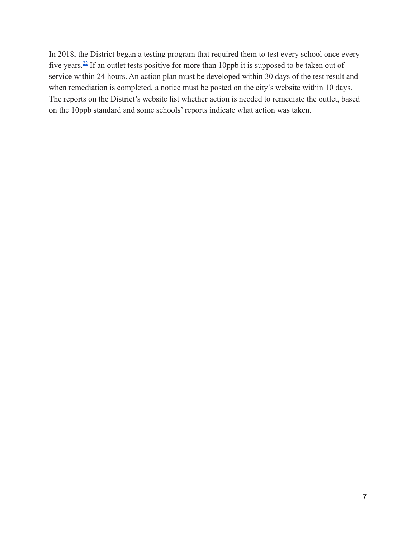In 2018, the District began a testing program that required them to test every school once every five years.<sup>22</sup> If an outlet tests positive for more than 10ppb it is supposed to be taken out of service within 24 hours. An action plan must be developed within 30 days of the test result and when remediation is completed, a notice must be posted on the city's website within 10 days. The reports on the District's website list whether action is needed to remediate the outlet, based on the 10ppb standard and some schools' reports indicate what action was taken.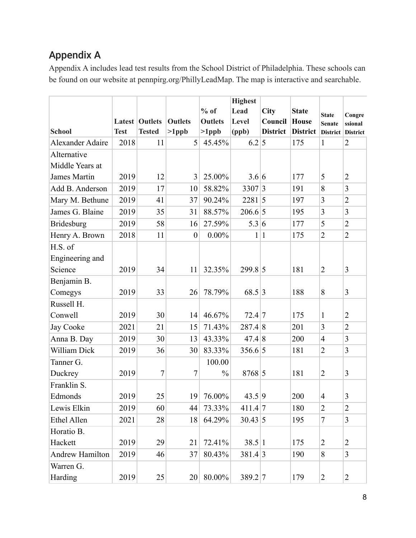#### Appendix A

Appendix A includes lead test results from the School District of Philadelphia. These schools can be found on our website at pennpirg.org/PhillyLeadMap. The map is interactive and searchable.

|                         |             |                       |                  |                | <b>Highest</b> |                 |                 |                 |                         |
|-------------------------|-------------|-----------------------|------------------|----------------|----------------|-----------------|-----------------|-----------------|-------------------------|
|                         |             |                       |                  | $%$ of         | Lead           | <b>City</b>     | <b>State</b>    | <b>State</b>    | Congre                  |
|                         |             | <b>Latest Outlets</b> | <b>Outlets</b>   | <b>Outlets</b> | Level          | Council         | <b>House</b>    | <b>Senate</b>   | ssional                 |
| <b>School</b>           | <b>Test</b> | <b>Tested</b>         | $>1$ ppb         | $>1$ ppb       | (ppb)          | <b>District</b> | <b>District</b> | <b>District</b> | <b>District</b>         |
| <b>Alexander Adaire</b> | 2018        | 11                    | 5                | 45.45%         | 6.2 5          |                 | 175             | $\mathbf{1}$    | $\overline{2}$          |
| Alternative             |             |                       |                  |                |                |                 |                 |                 |                         |
| Middle Years at         |             |                       |                  |                |                |                 |                 |                 |                         |
| <b>James Martin</b>     | 2019        | 12                    | 3                | 25.00%         | 3.6 6          |                 | 177             | 5               | $\overline{2}$          |
| Add B. Anderson         | 2019        | 17                    | 10               | 58.82%         | 3307 3         |                 | 191             | 8               | 3                       |
| Mary M. Bethune         | 2019        | 41                    | 37               | 90.24%         | $2281 \,   5$  |                 | 197             | 3               | $\overline{2}$          |
| James G. Blaine         | 2019        | 35                    | 31               | 88.57%         | 206.6 5        |                 | 195             | 3               | 3                       |
| <b>Bridesburg</b>       | 2019        | 58                    | 16               | 27.59%         | 5.3 6          |                 | 177             | 5               | $\overline{2}$          |
| Henry A. Brown          | 2018        | 11                    | $\boldsymbol{0}$ | $0.00\%$       |                | 1 1             | 175             | $\overline{2}$  | $\overline{2}$          |
| H.S. of                 |             |                       |                  |                |                |                 |                 |                 |                         |
| Engineering and         |             |                       |                  |                |                |                 |                 |                 |                         |
| Science                 | 2019        | 34                    | 11               | 32.35%         | 299.8 5        |                 | 181             | $\overline{2}$  | $\overline{3}$          |
| Benjamin B.             |             |                       |                  |                |                |                 |                 |                 |                         |
| Comegys                 | 2019        | 33                    | 26               | 78.79%         | 68.5 3         |                 | 188             | 8               | 3                       |
| Russell H.              |             |                       |                  |                |                |                 |                 |                 |                         |
| Conwell                 | 2019        | 30                    | 14               | 46.67%         | 72.4 7         |                 | 175             | 1               | $\overline{2}$          |
| Jay Cooke               | 2021        | 21                    | 15               | 71.43%         | 287.4 8        |                 | 201             | 3               | $\overline{2}$          |
| Anna B. Day             | 2019        | 30                    | 13               | 43.33%         | 47.4 8         |                 | 200             | $\overline{4}$  | $\overline{\mathbf{3}}$ |
| William Dick            | 2019        | 36                    | 30               | 83.33%         | 356.6 5        |                 | 181             | $\overline{2}$  | 3                       |
| Tanner G.               |             |                       |                  | 100.00         |                |                 |                 |                 |                         |
| Duckrey                 | 2019        | $\overline{7}$        | $\overline{7}$   | $\frac{0}{0}$  | 8768 5         |                 | 181             | $\overline{2}$  | 3                       |
| Franklin S.             |             |                       |                  |                |                |                 |                 |                 |                         |
| Edmonds                 | 2019        | 25                    | 19               | 76.00%         | 43.5 9         |                 | 200             | $\overline{4}$  | 3                       |
| Lewis Elkin             | 2019        | 60                    | 44               | 73.33%         | $411.4$ 7      |                 | 180             | $\overline{2}$  | $\overline{2}$          |
| <b>Ethel Allen</b>      | 2021        | 28                    | 18               | 64.29%         | $30.43 \mid 5$ |                 | 195             | $\overline{7}$  | 3                       |
| Horatio B.              |             |                       |                  |                |                |                 |                 |                 |                         |
| Hackett                 | 2019        | 29                    | 21               | 72.41%         | 38.5 1         |                 | 175             | $\overline{2}$  | $\overline{2}$          |
| <b>Andrew Hamilton</b>  | 2019        | 46                    | 37               | 80.43%         | 381.4 3        |                 | 190             | 8               | 3                       |
| Warren G.               |             |                       |                  |                |                |                 |                 |                 |                         |
| Harding                 | 2019        | 25                    | 20               | 80.00%         | 389.2 7        |                 | 179             | $\overline{2}$  | $\overline{2}$          |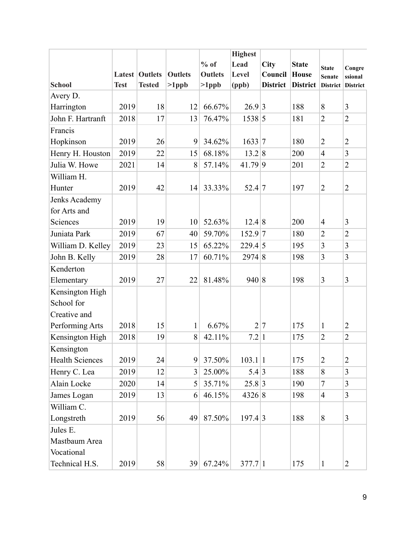|                        |             | <b>Highest</b>        |                |                |                 |                 |                 |                 |                 |
|------------------------|-------------|-----------------------|----------------|----------------|-----------------|-----------------|-----------------|-----------------|-----------------|
|                        |             |                       |                | $%$ of         | Lead            | <b>City</b>     | <b>State</b>    | <b>State</b>    | Congre          |
|                        |             | <b>Latest Outlets</b> | <b>Outlets</b> | <b>Outlets</b> | Level           | Council         | <b>House</b>    | <b>Senate</b>   | ssional         |
| <b>School</b>          | <b>Test</b> | <b>Tested</b>         | $>1$ ppb       | $>1$ ppb       | (ppb)           | <b>District</b> | <b>District</b> | <b>District</b> | <b>District</b> |
| Avery D.               |             |                       |                |                |                 |                 |                 |                 |                 |
| Harrington             | 2019        | 18                    | 12             | 66.67%         | 26.9 3          |                 | 188             | $\sqrt{8}$      | 3               |
| John F. Hartranft      | 2018        | 17                    | 13             | 76.47%         | 1538 5          |                 | 181             | $\overline{2}$  | $\overline{2}$  |
| Francis                |             |                       |                |                |                 |                 |                 |                 |                 |
| Hopkinson              | 2019        | 26                    | 9              | 34.62%         | 1633 7          |                 | 180             | $\overline{2}$  | $\overline{2}$  |
| Henry H. Houston       | 2019        | 22                    | 15             | 68.18%         | 13.2 8          |                 | 200             | $\overline{4}$  | 3               |
| Julia W. Howe          | 2021        | 14                    | 8              | 57.14%         | 41.79 9         |                 | 201             | $\overline{2}$  | $\overline{c}$  |
| William H.             |             |                       |                |                |                 |                 |                 |                 |                 |
| Hunter                 | 2019        | 42                    | 14             | 33.33%         | 52.4 7          |                 | 197             | $\overline{2}$  | $\overline{2}$  |
| Jenks Academy          |             |                       |                |                |                 |                 |                 |                 |                 |
| for Arts and           |             |                       |                |                |                 |                 |                 |                 |                 |
| Sciences               | 2019        | 19                    | 10             | 52.63%         | 12.4 8          |                 | 200             | $\overline{4}$  | 3               |
| Juniata Park           | 2019        | 67                    | 40             | 59.70%         | $152.9$ 7       |                 | 180             | $\overline{2}$  | $\overline{c}$  |
| William D. Kelley      | 2019        | 23                    | 15             | 65.22%         | $229.4 \vert 5$ |                 | 195             | 3               | 3               |
| John B. Kelly          | 2019        | 28                    | 17             | 60.71%         | 2974 8          |                 | 198             | $\overline{3}$  | 3               |
| Kenderton              |             |                       |                |                |                 |                 |                 |                 |                 |
| Elementary             | 2019        | 27                    | 22             | 81.48%         | 940 8           |                 | 198             | $\overline{3}$  | 3               |
| Kensington High        |             |                       |                |                |                 |                 |                 |                 |                 |
| School for             |             |                       |                |                |                 |                 |                 |                 |                 |
| Creative and           |             |                       |                |                |                 |                 |                 |                 |                 |
| Performing Arts        | 2018        | 15                    | $\mathbf{1}$   | 6.67%          | $\overline{2}$  | 7               | 175             | $\mathbf{1}$    | $\overline{2}$  |
| Kensington High        | 2018        | 19                    | 8              | 42.11%         | 7.2 1           |                 | 175             | $\overline{2}$  | $\overline{2}$  |
| Kensington             |             |                       |                |                |                 |                 |                 |                 |                 |
| <b>Health Sciences</b> | 2019        | 24                    | 9              | 37.50%         | 103.1 1         |                 | 175             | $\overline{2}$  | $\overline{c}$  |
| Henry C. Lea           | 2019        | 12                    | 3              | 25.00%         | 5.4 3           |                 | 188             | 8               | 3               |
| Alain Locke            | 2020        | 14                    | 5              | 35.71%         | 25.8 3          |                 | 190             | 7               | 3               |
| James Logan            | 2019        | 13                    | 6              | 46.15%         | 4326 8          |                 | 198             | $\overline{4}$  | $\overline{3}$  |
| William C.             |             |                       |                |                |                 |                 |                 |                 |                 |
| Longstreth             | 2019        | 56                    | 49             | 87.50%         | 197.4 3         |                 | 188             | 8               | 3               |
| Jules E.               |             |                       |                |                |                 |                 |                 |                 |                 |
| Mastbaum Area          |             |                       |                |                |                 |                 |                 |                 |                 |
| Vocational             |             |                       |                |                |                 |                 |                 |                 |                 |
| Technical H.S.         | 2019        | 58                    | 39             | 67.24%         | 377.7 1         |                 | 175             | $\mathbf{1}$    | $\overline{c}$  |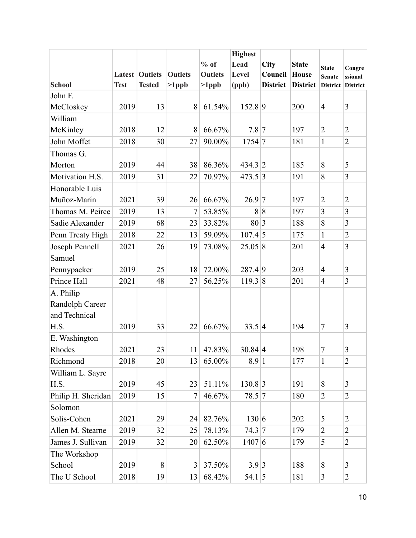|                    |             |                       |                |                | <b>Highest</b> |                 |                 |                 |                 |
|--------------------|-------------|-----------------------|----------------|----------------|----------------|-----------------|-----------------|-----------------|-----------------|
|                    |             |                       |                | $%$ of         | Lead           | City            | <b>State</b>    | <b>State</b>    | Congre          |
|                    |             | <b>Latest Outlets</b> | <b>Outlets</b> | <b>Outlets</b> | Level          | Council         | House           | <b>Senate</b>   | ssional         |
| <b>School</b>      | <b>Test</b> | <b>Tested</b>         | $>1$ ppb       | $>1$ ppb       | (ppb)          | <b>District</b> | <b>District</b> | <b>District</b> | <b>District</b> |
| John F.            |             |                       |                |                |                |                 |                 |                 |                 |
| McCloskey          | 2019        | 13                    | 8              | 61.54%         | 152.8 9        |                 | 200             | $\overline{4}$  | 3               |
| William            |             |                       |                |                |                |                 |                 |                 |                 |
| McKinley           | 2018        | 12                    | 8              | 66.67%         | 7.8 7          |                 | 197             | $\overline{2}$  | $\overline{2}$  |
| John Moffet        | 2018        | 30                    | 27             | 90.00%         | 1754 7         |                 | 181             | $\mathbf{1}$    | $\overline{2}$  |
| Thomas G.          |             |                       |                |                |                |                 |                 |                 |                 |
| Morton             | 2019        | 44                    | 38             | 86.36%         | 434.3 2        |                 | 185             | $\sqrt{8}$      | 5               |
| Motivation H.S.    | 2019        | 31                    | 22             | 70.97%         | 473.5 3        |                 | 191             | $\sqrt{8}$      | 3               |
| Honorable Luis     |             |                       |                |                |                |                 |                 |                 |                 |
| Muñoz-Marín        | 2021        | 39                    | 26             | 66.67%         | $26.9 \mid 7$  |                 | 197             | $\overline{2}$  | $\overline{2}$  |
| Thomas M. Peirce   | 2019        | 13                    | 7              | 53.85%         | 8              | $\vert 8$       | 197             | $\overline{3}$  | 3               |
| Sadie Alexander    | 2019        | 68                    | 23             | 33.82%         | 80 3           |                 | 188             | 8               | 3               |
| Penn Treaty High   | 2018        | 22                    | 13             | 59.09%         | $107.4 \,   5$ |                 | 175             | $\mathbf{1}$    | $\overline{c}$  |
| Joseph Pennell     | 2021        | 26                    | 19             | 73.08%         | 25.05 8        |                 | 201             | $\overline{4}$  | 3               |
| Samuel             |             |                       |                |                |                |                 |                 |                 |                 |
| Pennypacker        | 2019        | 25                    | 18             | 72.00%         | 287.49         |                 | 203             | $\overline{4}$  | 3               |
| Prince Hall        | 2021        | 48                    | 27             | 56.25%         | 119.38         |                 | 201             | $\overline{4}$  | 3               |
| A. Philip          |             |                       |                |                |                |                 |                 |                 |                 |
| Randolph Career    |             |                       |                |                |                |                 |                 |                 |                 |
| and Technical      |             |                       |                |                |                |                 |                 |                 |                 |
| H.S.               | 2019        | 33                    | 22             | 66.67%         | 33.5 4         |                 | 194             | $\overline{7}$  | 3               |
| E. Washington      |             |                       |                |                |                |                 |                 |                 |                 |
| Rhodes             | 2021        | 23                    | 11             | 47.83%         | 30.84 4        |                 | 198             | 7               | 3               |
| Richmond           | 2018        | 20                    | 13             | 65.00%         | 8.9 1          |                 | 177             | $\mathbf{1}$    | $\overline{2}$  |
| William L. Sayre   |             |                       |                |                |                |                 |                 |                 |                 |
| H.S.               | 2019        | 45                    | 23             | 51.11%         | 130.8 3        |                 | 191             | 8               | 3               |
| Philip H. Sheridan | 2019        | 15                    | $\tau$         | 46.67%         | $78.5 \vert 7$ |                 | 180             | $\overline{2}$  | $\overline{2}$  |
| Solomon            |             |                       |                |                |                |                 |                 |                 |                 |
| Solis-Cohen        | 2021        | 29                    | 24             | 82.76%         | 130 6          |                 | 202             | 5               | $\overline{2}$  |
| Allen M. Stearne   | 2019        | 32                    | 25             | 78.13%         | 74.3 7         |                 | 179             | $\overline{2}$  | $\overline{c}$  |
| James J. Sullivan  | 2019        | 32                    | 20             | 62.50%         | 1407 6         |                 | 179             | 5               | $\overline{2}$  |
| The Workshop       |             |                       |                |                |                |                 |                 |                 |                 |
| School             | 2019        | 8                     | 3              | 37.50%         | 3.9 3          |                 | 188             | $\sqrt{8}$      | 3               |
| The U School       | 2018        | 19                    | 13             | 68.42%         | $54.1 \,   5$  |                 | 181             | $\mathfrak{Z}$  | $\overline{2}$  |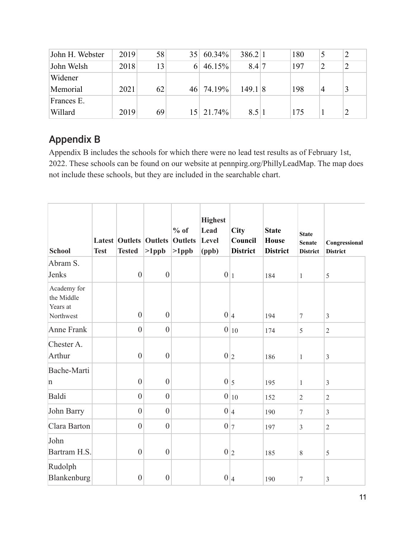| John H. Webster | 2019 | 58 | 35 <sup>1</sup> | $60.34\%$ | 386.2 1 | 180 |   | $\overline{2}$ |
|-----------------|------|----|-----------------|-----------|---------|-----|---|----------------|
| John Welsh      | 2018 | 13 | 6               | 46.15%    | 8.47    | 197 | 2 | $\overline{2}$ |
| Widener         |      |    |                 |           |         |     |   |                |
| Memorial        | 2021 | 62 | 46              | 74.19%    | 149.18  | 198 | 4 |                |
| Frances E.      |      |    |                 |           |         |     |   |                |
| Willard         | 2019 | 69 | 15.             | 21.74%    | 8.5 1   | 175 |   |                |

#### Appendix B

Appendix B includes the schools for which there were no lead test results as of February 1st, 2022. These schools can be found on our website at pennpirg.org/PhillyLeadMap. The map does not include these schools, but they are included in the searchable chart.

| <b>School</b>                                      | <b>Test</b> | <b>Latest Outlets Outlets</b><br><b>Tested</b> | $>1$ ppb         | $%$ of<br><b>Outlets</b><br>$>1$ ppb | <b>Highest</b><br>Lead<br>Level<br>(ppb) | City<br>Council<br><b>District</b> | <b>State</b><br><b>House</b><br><b>District</b> | <b>State</b><br><b>Senate</b><br><b>District</b> | Congressional<br><b>District</b> |
|----------------------------------------------------|-------------|------------------------------------------------|------------------|--------------------------------------|------------------------------------------|------------------------------------|-------------------------------------------------|--------------------------------------------------|----------------------------------|
| Abram S.<br>Jenks                                  |             | $\boldsymbol{0}$                               | $\boldsymbol{0}$ |                                      | 0 1                                      |                                    | 184                                             | $\mathbf{1}$                                     | 5                                |
| Academy for<br>the Middle<br>Years at<br>Northwest |             | $\boldsymbol{0}$                               | $\boldsymbol{0}$ |                                      |                                          | 0 4                                | 194                                             | $\tau$                                           | $\overline{3}$                   |
| <b>Anne Frank</b>                                  |             | $\boldsymbol{0}$                               | $\boldsymbol{0}$ |                                      |                                          | $0 _{10}$                          | 174                                             | 5                                                | $\overline{2}$                   |
| Chester A.<br>Arthur                               |             | $\overline{0}$                                 | $\boldsymbol{0}$ |                                      |                                          | 0 2                                | 186                                             | $\mathbf{1}$                                     | $\mathfrak{Z}$                   |
| Bache-Marti<br>n                                   |             | $\overline{0}$                                 | $\overline{0}$   |                                      |                                          | $0\vert_5$                         | 195                                             | $\mathbf{1}$                                     | $\mathfrak{Z}$                   |
| Baldi                                              |             | $\overline{0}$                                 | $\overline{0}$   |                                      |                                          | $0 _{10}$                          | 152                                             | $\overline{2}$                                   | $\overline{2}$                   |
| John Barry                                         |             | $\overline{0}$                                 | $\boldsymbol{0}$ |                                      |                                          | 0 4                                | 190                                             | $\tau$                                           | $\mathfrak{Z}$                   |
| Clara Barton                                       |             | $\boldsymbol{0}$                               | $\boldsymbol{0}$ |                                      |                                          | 0 7                                | 197                                             | $\mathfrak{Z}$                                   | $\sqrt{2}$                       |
| John<br>Bartram H.S.                               |             | $\boldsymbol{0}$                               | $\boldsymbol{0}$ |                                      |                                          | 0 2                                | 185                                             | $8\,$                                            | 5                                |
| Rudolph<br>Blankenburg                             |             | $\boldsymbol{0}$                               | $\boldsymbol{0}$ |                                      |                                          | 0 4                                | 190                                             | 7                                                | $\mathfrak{Z}$                   |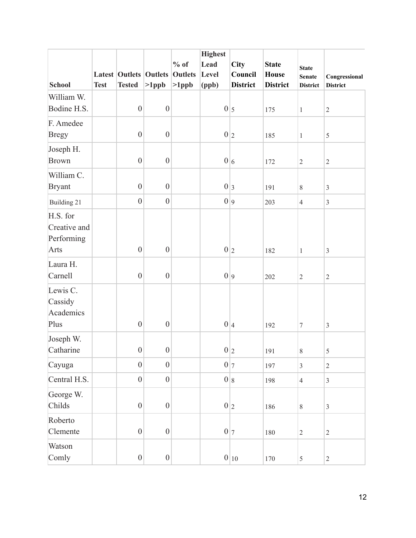|               |             |                               |                  |                | <b>Highest</b> |                 |                 |                  |                 |
|---------------|-------------|-------------------------------|------------------|----------------|----------------|-----------------|-----------------|------------------|-----------------|
|               |             |                               |                  | $%$ of         | Lead           | City            | <b>State</b>    | <b>State</b>     |                 |
|               |             | <b>Latest Outlets Outlets</b> |                  | <b>Outlets</b> | Level          | Council         | <b>House</b>    | <b>Senate</b>    | Congressional   |
| <b>School</b> | <b>Test</b> | <b>Tested</b>                 | $>1$ ppb         | $>1$ ppb       | (ppb)          | <b>District</b> | <b>District</b> | <b>District</b>  | <b>District</b> |
| William W.    |             |                               |                  |                |                |                 |                 |                  |                 |
| Bodine H.S.   |             | $\boldsymbol{0}$              | $\boldsymbol{0}$ |                |                | $0\vert_5$      | 175             | $\,1$            | $\sqrt{2}$      |
| F. Amedee     |             |                               |                  |                |                |                 |                 |                  |                 |
| <b>Bregy</b>  |             | $\boldsymbol{0}$              | $\boldsymbol{0}$ |                | 0 2            |                 | 185             | $\mathbf{1}$     | $\sqrt{5}$      |
| Joseph H.     |             |                               |                  |                |                |                 |                 |                  |                 |
| <b>Brown</b>  |             | $\boldsymbol{0}$              | $\boldsymbol{0}$ |                |                | 0 6             | 172             | $\sqrt{2}$       | $\sqrt{2}$      |
| William C.    |             |                               |                  |                |                |                 |                 |                  |                 |
| <b>Bryant</b> |             | $\boldsymbol{0}$              | $\boldsymbol{0}$ |                | 0 3            |                 | 191             | $8\,$            | $\mathfrak{Z}$  |
| Building 21   |             | $\boldsymbol{0}$              | $\boldsymbol{0}$ |                |                | 0 9             | 203             | $\overline{4}$   | $\mathfrak{Z}$  |
| H.S. for      |             |                               |                  |                |                |                 |                 |                  |                 |
| Creative and  |             |                               |                  |                |                |                 |                 |                  |                 |
| Performing    |             |                               |                  |                |                |                 |                 |                  |                 |
| Arts          |             | $\overline{0}$                | $\boldsymbol{0}$ |                |                | 0 2             | 182             | $\mathbf{1}$     | $\mathfrak{Z}$  |
| Laura H.      |             |                               |                  |                |                |                 |                 |                  |                 |
| Carnell       |             | $\boldsymbol{0}$              | $\boldsymbol{0}$ |                | 0 9            |                 | 202             | $\sqrt{2}$       | $\sqrt{2}$      |
| Lewis C.      |             |                               |                  |                |                |                 |                 |                  |                 |
| Cassidy       |             |                               |                  |                |                |                 |                 |                  |                 |
| Academics     |             |                               |                  |                |                |                 |                 |                  |                 |
| Plus          |             | $\boldsymbol{0}$              | $\boldsymbol{0}$ |                | 0 4            |                 | 192             | $\boldsymbol{7}$ | $\mathfrak{Z}$  |
| Joseph W.     |             |                               |                  |                |                |                 |                 |                  |                 |
| Catharine     |             | $\mathbf{0}$                  | $\boldsymbol{0}$ |                |                | $0\vert_2$      | 191             | $8\,$            | 5               |
| Cayuga        |             | $\overline{0}$                | $\boldsymbol{0}$ |                |                | $0\vert\tau$    | 197             | $\overline{3}$   | $\sqrt{2}$      |
| Central H.S.  |             | $\overline{0}$                | $\boldsymbol{0}$ |                |                | 0 8             | 198             | $\overline{4}$   | $\overline{3}$  |
| George W.     |             |                               |                  |                |                |                 |                 |                  |                 |
| Childs        |             | $\boldsymbol{0}$              | $\boldsymbol{0}$ |                |                | 0 2             | 186             | $8\,$            | $\mathfrak{Z}$  |
| Roberto       |             |                               |                  |                |                |                 |                 |                  |                 |
| Clemente      |             | $\overline{0}$                | $\boldsymbol{0}$ |                |                | $0\vert\tau$    | 180             | $\sqrt{2}$       | $\sqrt{2}$      |
| Watson        |             |                               |                  |                |                |                 |                 |                  |                 |
| Comly         |             | $\boldsymbol{0}$              | $\boldsymbol{0}$ |                |                | $0 _{10}$       | 170             | $\sqrt{5}$       | $\sqrt{2}$      |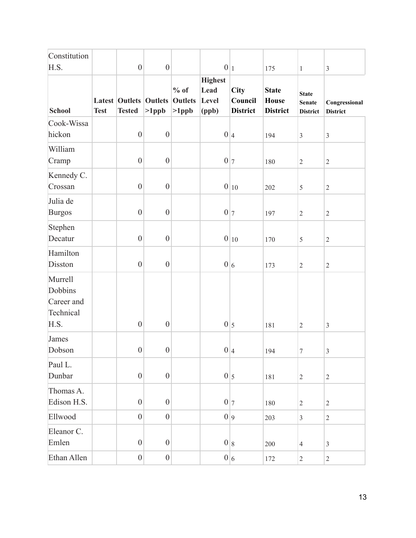| Constitution                                          |             |                                                |                  |                                      |                                          |                                           |                                                 |                                                  |                                  |
|-------------------------------------------------------|-------------|------------------------------------------------|------------------|--------------------------------------|------------------------------------------|-------------------------------------------|-------------------------------------------------|--------------------------------------------------|----------------------------------|
| H.S.                                                  |             | $\boldsymbol{0}$                               | $\boldsymbol{0}$ |                                      | 0 1                                      |                                           | 175                                             | $\mathbf{1}$                                     | $\mathfrak{Z}$                   |
| <b>School</b>                                         | <b>Test</b> | <b>Latest Outlets Outlets</b><br><b>Tested</b> | $>1$ ppb         | $%$ of<br><b>Outlets</b><br>$>1$ ppb | <b>Highest</b><br>Lead<br>Level<br>(ppb) | <b>City</b><br>Council<br><b>District</b> | <b>State</b><br><b>House</b><br><b>District</b> | <b>State</b><br><b>Senate</b><br><b>District</b> | Congressional<br><b>District</b> |
| Cook-Wissa                                            |             |                                                |                  |                                      |                                          |                                           |                                                 |                                                  |                                  |
| hickon                                                |             | $\boldsymbol{0}$                               | $\boldsymbol{0}$ |                                      | 0 4                                      |                                           | 194                                             | $\mathfrak{Z}$                                   | $\mathfrak{Z}$                   |
| William                                               |             |                                                |                  |                                      |                                          |                                           |                                                 |                                                  |                                  |
| Cramp                                                 |             | $\boldsymbol{0}$                               | $\boldsymbol{0}$ |                                      |                                          | $0\vert\tau$                              | 180                                             | $\sqrt{2}$                                       | $\sqrt{2}$                       |
| Kennedy C.                                            |             |                                                |                  |                                      |                                          |                                           |                                                 |                                                  |                                  |
| Crossan                                               |             | $\boldsymbol{0}$                               | $\boldsymbol{0}$ |                                      |                                          | $0 _{10}$                                 | 202                                             | $\sqrt{5}$                                       | $\sqrt{2}$                       |
| Julia de<br><b>Burgos</b>                             |             | $\boldsymbol{0}$                               | $\boldsymbol{0}$ |                                      | 0 7                                      |                                           | 197                                             | $\sqrt{2}$                                       | $\sqrt{2}$                       |
| Stephen<br>Decatur                                    |             | $\boldsymbol{0}$                               | $\boldsymbol{0}$ |                                      |                                          | $0 _{10}$                                 | 170                                             | $\sqrt{5}$                                       | $\sqrt{2}$                       |
| Hamilton                                              |             |                                                |                  |                                      |                                          |                                           |                                                 |                                                  |                                  |
| Disston                                               |             | $\boldsymbol{0}$                               | $\boldsymbol{0}$ |                                      |                                          | 0 6                                       | 173                                             | $\sqrt{2}$                                       | $\mathbf{2}$                     |
| Murrell<br>Dobbins<br>Career and<br>Technical<br>H.S. |             | $\boldsymbol{0}$                               | $\boldsymbol{0}$ |                                      | $0\vert_5$                               |                                           | 181                                             | $\sqrt{2}$                                       | $\mathfrak{Z}$                   |
| James                                                 |             |                                                |                  |                                      |                                          |                                           |                                                 |                                                  |                                  |
| Dobson                                                |             | $\boldsymbol{0}$                               | $\boldsymbol{0}$ |                                      |                                          | 0 4                                       | 194                                             | $\tau$                                           | 3                                |
| Paul L.<br>Dunbar                                     |             | $\boldsymbol{0}$                               | $\boldsymbol{0}$ |                                      |                                          | $0\vert_5$                                | 181                                             | $\overline{2}$                                   | $\sqrt{2}$                       |
| Thomas A.<br>Edison H.S.                              |             | $\boldsymbol{0}$                               | $\boldsymbol{0}$ |                                      |                                          | $0\vert\tau$                              | 180                                             | $\sqrt{2}$                                       | $\sqrt{2}$                       |
| Ellwood                                               |             | $\boldsymbol{0}$                               | $\boldsymbol{0}$ |                                      |                                          | 0 9                                       | 203                                             | $\mathfrak{Z}$                                   | $\sqrt{2}$                       |
| Eleanor C.<br>Emlen                                   |             | $\boldsymbol{0}$                               | $\boldsymbol{0}$ |                                      |                                          | 0 8                                       | 200                                             | $\overline{4}$                                   | $\mathfrak{Z}$                   |
| Ethan Allen                                           |             | $\boldsymbol{0}$                               | $\boldsymbol{0}$ |                                      |                                          | 0 6                                       | 172                                             | $\overline{2}$                                   | $\sqrt{2}$                       |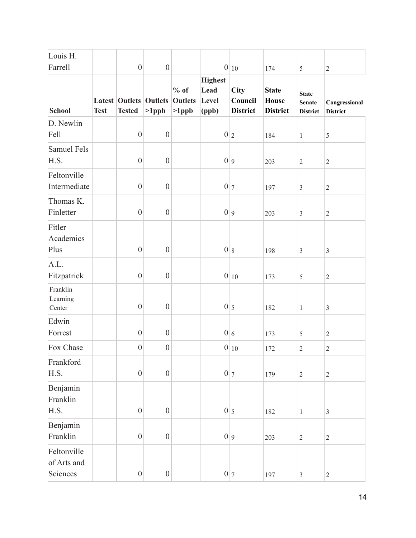| Louis H.<br>Farrell                    |             | $\boldsymbol{0}$ | $\boldsymbol{0}$                          |                                      |                                          | $0 _{10}$                          | 174                                             | 5                                                | $\sqrt{2}$                       |
|----------------------------------------|-------------|------------------|-------------------------------------------|--------------------------------------|------------------------------------------|------------------------------------|-------------------------------------------------|--------------------------------------------------|----------------------------------|
| <b>School</b>                          | <b>Test</b> | <b>Tested</b>    | <b>Latest Outlets Outlets</b><br>$>1$ ppb | $%$ of<br><b>Outlets</b><br>$>1$ ppb | <b>Highest</b><br>Lead<br>Level<br>(ppb) | City<br>Council<br><b>District</b> | <b>State</b><br><b>House</b><br><b>District</b> | <b>State</b><br><b>Senate</b><br><b>District</b> | Congressional<br><b>District</b> |
| D. Newlin<br>Fell                      |             | $\boldsymbol{0}$ | $\boldsymbol{0}$                          |                                      | 0 2                                      |                                    | 184                                             | $\mathbf{1}$                                     | 5                                |
| <b>Samuel Fels</b><br>H.S.             |             | $\boldsymbol{0}$ | $\boldsymbol{0}$                          |                                      | 0 9                                      |                                    | 203                                             | $\sqrt{2}$                                       | $\sqrt{2}$                       |
| Feltonville<br>Intermediate            |             | $\boldsymbol{0}$ | $\boldsymbol{0}$                          |                                      | 0 7                                      |                                    | 197                                             | $\mathfrak{Z}$                                   | $\sqrt{2}$                       |
| Thomas K.<br>Finletter                 |             | $\boldsymbol{0}$ | $\boldsymbol{0}$                          |                                      | 0 9                                      |                                    | 203                                             | $\overline{3}$                                   | $\overline{2}$                   |
| Fitler<br>Academics<br>Plus            |             | $\mathbf{0}$     | $\boldsymbol{0}$                          |                                      | 0 8                                      |                                    | 198                                             | $\mathfrak{Z}$                                   | $\mathfrak{Z}$                   |
| A.L.<br>Fitzpatrick                    |             | $\boldsymbol{0}$ | $\boldsymbol{0}$                          |                                      |                                          | $0 _{10}$                          | 173                                             | 5                                                | $\overline{2}$                   |
| Franklin<br>Learning<br>Center         |             | $\boldsymbol{0}$ | $\boldsymbol{0}$                          |                                      | $0\vert_5$                               |                                    | 182                                             | $\,1$                                            | $\mathfrak{Z}$                   |
| Edwin<br>Forrest                       |             | $\boldsymbol{0}$ | $\boldsymbol{0}$                          |                                      | 0 6                                      |                                    | 173                                             | 5                                                | $\sqrt{2}$                       |
| Fox Chase                              |             | $\boldsymbol{0}$ | $\boldsymbol{0}$                          |                                      |                                          | $0 _{10}$                          | 172                                             | $\mathbf{2}$                                     | $\sqrt{2}$                       |
| Frankford<br>H.S.                      |             | $\boldsymbol{0}$ | $\boldsymbol{0}$                          |                                      | $0\vert\tau$                             |                                    | 179                                             | $\sqrt{2}$                                       | $\sqrt{2}$                       |
| Benjamin<br>Franklin<br>H.S.           |             | $\overline{0}$   | $\boldsymbol{0}$                          |                                      | $0\vert_5$                               |                                    | 182                                             | $\mathbf{1}$                                     | $\mathfrak{Z}$                   |
| Benjamin<br>Franklin                   |             | $\boldsymbol{0}$ | $\boldsymbol{0}$                          |                                      | 0 9                                      |                                    | 203                                             | $\sqrt{2}$                                       | $\sqrt{2}$                       |
| Feltonville<br>of Arts and<br>Sciences |             | $\boldsymbol{0}$ | $\boldsymbol{0}$                          |                                      |                                          | 0 7                                | 197                                             | $\mathfrak{Z}$                                   | $\sqrt{2}$                       |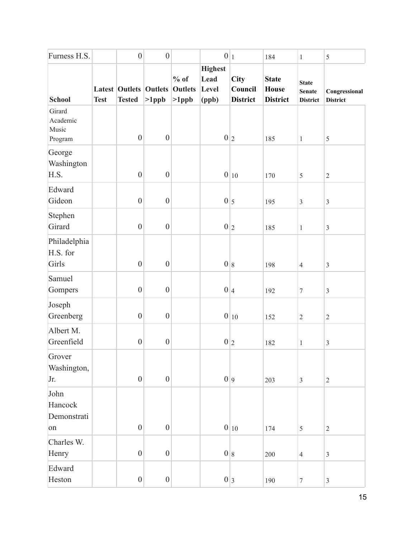| Furness H.S.                           |             | $\boldsymbol{0}$                               | $\boldsymbol{0}$ |                                      | $0 _1$                                   |                                           | 184                                             | $\mathbf{1}$                                     | $\sqrt{5}$                       |
|----------------------------------------|-------------|------------------------------------------------|------------------|--------------------------------------|------------------------------------------|-------------------------------------------|-------------------------------------------------|--------------------------------------------------|----------------------------------|
| <b>School</b>                          | <b>Test</b> | <b>Latest Outlets Outlets</b><br><b>Tested</b> | $>1$ ppb         | $%$ of<br><b>Outlets</b><br>$>1$ ppb | <b>Highest</b><br>Lead<br>Level<br>(ppb) | <b>City</b><br>Council<br><b>District</b> | <b>State</b><br><b>House</b><br><b>District</b> | <b>State</b><br><b>Senate</b><br><b>District</b> | Congressional<br><b>District</b> |
| Girard<br>Academic<br>Music<br>Program |             | $\boldsymbol{0}$                               | $\boldsymbol{0}$ |                                      |                                          | 0 2                                       | 185                                             | $\mathbf{1}$                                     | $\sqrt{5}$                       |
| George<br>Washington<br>H.S.           |             | $\boldsymbol{0}$                               | $\boldsymbol{0}$ |                                      |                                          | $0 _{10}$                                 | 170                                             | 5                                                | $\sqrt{2}$                       |
| Edward<br>Gideon                       |             | $\boldsymbol{0}$                               | $\boldsymbol{0}$ |                                      | $0\vert_5$                               |                                           | 195                                             | $\mathfrak{Z}$                                   | $\mathfrak{Z}$                   |
| Stephen<br>Girard                      |             | $\boldsymbol{0}$                               | $\boldsymbol{0}$ |                                      |                                          | 0 2                                       | 185                                             | $\,1$                                            | $\mathfrak{Z}$                   |
| Philadelphia<br>H.S. for<br>Girls      |             | $\boldsymbol{0}$                               | $\boldsymbol{0}$ |                                      |                                          | 0 8                                       | 198                                             | $\overline{4}$                                   | $\mathfrak{Z}$                   |
| Samuel<br>Gompers                      |             | $\boldsymbol{0}$                               | $\boldsymbol{0}$ |                                      | 0 4                                      |                                           | 192                                             | $\boldsymbol{7}$                                 | $\mathfrak{Z}$                   |
| Joseph<br>Greenberg                    |             | $\boldsymbol{0}$                               | $\boldsymbol{0}$ |                                      |                                          | $0 _{10}$                                 | 152                                             | $\sqrt{2}$                                       | $\sqrt{2}$                       |
| Albert M.<br>Greenfield                |             | $\boldsymbol{0}$                               | $\boldsymbol{0}$ |                                      | 0 2                                      |                                           | 182                                             | $\mathbf{1}$                                     | $\mathfrak{Z}$                   |
| Grover<br>Washington,<br>Jr.           |             | $\boldsymbol{0}$                               | $\boldsymbol{0}$ |                                      | 0 9                                      |                                           | 203                                             | $\mathfrak{Z}$                                   | $\sqrt{2}$                       |
| John<br>Hancock<br>Demonstrati<br>on   |             | $\boldsymbol{0}$                               | $\boldsymbol{0}$ |                                      |                                          | $0 _{10}$                                 | 174                                             | 5                                                | $\sqrt{2}$                       |
| Charles W.<br>Henry                    |             | $\boldsymbol{0}$                               | $\boldsymbol{0}$ |                                      |                                          | 0 8                                       | 200                                             | $\overline{4}$                                   | $\mathfrak{Z}$                   |
| Edward<br>Heston                       |             | $\boldsymbol{0}$                               | $\boldsymbol{0}$ |                                      |                                          | 0 3                                       | 190                                             | $\boldsymbol{7}$                                 | $\mathfrak{Z}$                   |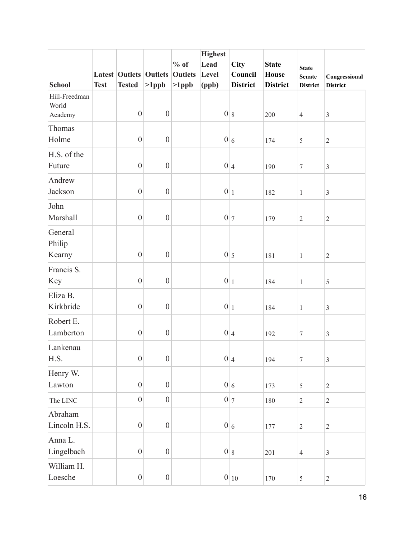|                                   |             |                               |                  |                | <b>Highest</b> |                 |                 |                  |                 |
|-----------------------------------|-------------|-------------------------------|------------------|----------------|----------------|-----------------|-----------------|------------------|-----------------|
|                                   |             |                               |                  | $%$ of         | Lead           | <b>City</b>     | <b>State</b>    | <b>State</b>     |                 |
|                                   |             | <b>Latest Outlets Outlets</b> |                  | <b>Outlets</b> | Level          | Council         | <b>House</b>    | <b>Senate</b>    | Congressional   |
| <b>School</b>                     | <b>Test</b> | <b>Tested</b>                 | $>1$ ppb         | $>1$ ppb       | (ppb)          | <b>District</b> | <b>District</b> | <b>District</b>  | <b>District</b> |
| Hill-Freedman<br>World<br>Academy |             | $\boldsymbol{0}$              | $\boldsymbol{0}$ |                |                | 0 8             | 200             | $\overline{4}$   | $\mathfrak{Z}$  |
| Thomas<br>Holme                   |             | $\mathbf{0}$                  | $\boldsymbol{0}$ |                |                | 0 6             | 174             | 5                | $\sqrt{2}$      |
| H.S. of the<br>Future             |             | $\boldsymbol{0}$              | $\boldsymbol{0}$ |                |                | 0 4             | 190             | $\tau$           | $\mathfrak{Z}$  |
| Andrew<br>Jackson                 |             | $\overline{0}$                | $\boldsymbol{0}$ |                | 0 1            |                 | 182             | $\mathbf{1}$     | $\mathfrak{Z}$  |
| John<br>Marshall                  |             | $\boldsymbol{0}$              | $\boldsymbol{0}$ |                | $0\vert\tau$   |                 | 179             | $\sqrt{2}$       | $\sqrt{2}$      |
| General<br>Philip<br>Kearny       |             | $\boldsymbol{0}$              | $\boldsymbol{0}$ |                | $0\vert_5$     |                 | 181             | $\mathbf{1}$     | $\mathbf{2}$    |
| Francis S.<br>Key                 |             | $\overline{0}$                | $\boldsymbol{0}$ |                | 0 1            |                 | 184             | $\mathbf{1}$     | $\sqrt{5}$      |
| Eliza B.<br>Kirkbride             |             | $\overline{0}$                | $\boldsymbol{0}$ |                | $0 _1$         |                 | 184             | $\mathbf{1}$     | $\overline{3}$  |
| Robert E.<br>Lamberton            |             | $\boldsymbol{0}$              | $\boldsymbol{0}$ |                | 0 4            |                 | 192             | $\boldsymbol{7}$ | $\mathfrak{Z}$  |
| Lankenau<br>H.S.                  |             | $\boldsymbol{0}$              | $\boldsymbol{0}$ |                |                | 0 4             | 194             | $\boldsymbol{7}$ | $\overline{3}$  |
| Henry W.<br>Lawton                |             | $\boldsymbol{0}$              | $\boldsymbol{0}$ |                |                | 0 6             | 173             | 5                | $\sqrt{2}$      |
| The LINC                          |             | $\boldsymbol{0}$              | $\boldsymbol{0}$ |                |                | $0\vert\tau$    | 180             | $\overline{2}$   | $\sqrt{2}$      |
| Abraham<br>Lincoln H.S.           |             | $\boldsymbol{0}$              | $\boldsymbol{0}$ |                |                | 0 6             | 177             | $\overline{2}$   | $\sqrt{2}$      |
| Anna L.<br>Lingelbach             |             | $\vert 0 \vert$               | $\boldsymbol{0}$ |                |                | 0 8             | 201             | $\overline{4}$   | $\mathfrak{Z}$  |
| William H.<br>Loesche             |             | $\boldsymbol{0}$              | $\boldsymbol{0}$ |                |                | $0 _{10}$       | 170             | $\mathfrak{S}$   | $\overline{2}$  |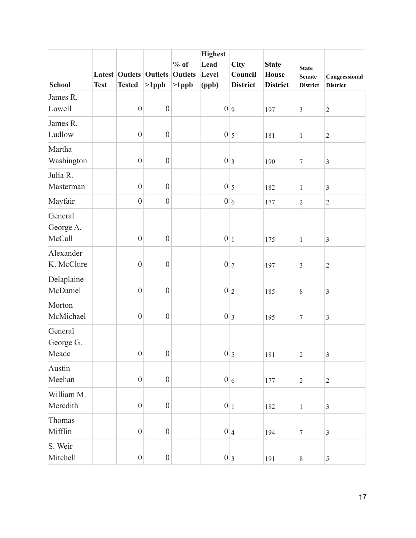|               |             |                               |                  |                | <b>Highest</b> |                 |                 |                  |                 |
|---------------|-------------|-------------------------------|------------------|----------------|----------------|-----------------|-----------------|------------------|-----------------|
|               |             |                               |                  | $%$ of         | Lead           | <b>City</b>     | <b>State</b>    | <b>State</b>     |                 |
|               |             | <b>Latest Outlets Outlets</b> |                  | <b>Outlets</b> | Level          | Council         | <b>House</b>    | <b>Senate</b>    | Congressional   |
| <b>School</b> | <b>Test</b> | <b>Tested</b>                 | $>1$ ppb         | $>1$ ppb       | (ppb)          | <b>District</b> | <b>District</b> | <b>District</b>  | <b>District</b> |
| James R.      |             |                               |                  |                |                |                 |                 |                  |                 |
| Lowell        |             | $\boldsymbol{0}$              | $\boldsymbol{0}$ |                | 0 9            |                 | 197             | $\mathfrak{Z}$   | $\sqrt{2}$      |
| James R.      |             |                               |                  |                |                |                 |                 |                  |                 |
| Ludlow        |             | $\overline{0}$                | $\boldsymbol{0}$ |                | 0 5            |                 | 181             | $\mathbf{1}$     | $\sqrt{2}$      |
| Martha        |             |                               |                  |                |                |                 |                 |                  |                 |
| Washington    |             | $\boldsymbol{0}$              | $\boldsymbol{0}$ |                |                | 0 3             | 190             | $\boldsymbol{7}$ | $\mathfrak{Z}$  |
|               |             |                               |                  |                |                |                 |                 |                  |                 |
| Julia R.      |             |                               |                  |                |                |                 |                 |                  |                 |
| Masterman     |             | $\mathbf{0}$                  | $\boldsymbol{0}$ |                |                | $0\vert_5$      | 182             | $\mathbf{1}$     | $\mathfrak{Z}$  |
| Mayfair       |             | $\overline{0}$                | $\boldsymbol{0}$ |                |                | 0 6             | 177             | $\sqrt{2}$       | $\sqrt{2}$      |
| General       |             |                               |                  |                |                |                 |                 |                  |                 |
| George A.     |             |                               |                  |                |                |                 |                 |                  |                 |
| McCall        |             | $\boldsymbol{0}$              | $\boldsymbol{0}$ |                | 0 1            |                 | 175             | $\mathbf{1}$     | $\mathfrak{Z}$  |
| Alexander     |             |                               |                  |                |                |                 |                 |                  |                 |
| K. McClure    |             | $\mathbf{0}$                  | $\boldsymbol{0}$ |                |                | $0\vert\tau$    | 197             | $\mathfrak{Z}$   | $\sqrt{2}$      |
| Delaplaine    |             |                               |                  |                |                |                 |                 |                  |                 |
| McDaniel      |             | $\overline{0}$                | $\boldsymbol{0}$ |                | 0 2            |                 | 185             | $8\,$            | $\mathfrak{Z}$  |
|               |             |                               |                  |                |                |                 |                 |                  |                 |
| Morton        |             |                               |                  |                |                |                 |                 |                  |                 |
| McMichael     |             | $\boldsymbol{0}$              | $\boldsymbol{0}$ |                | 0 3            |                 | 195             | $\boldsymbol{7}$ | $\mathfrak{Z}$  |
| General       |             |                               |                  |                |                |                 |                 |                  |                 |
| George G.     |             |                               |                  |                |                |                 |                 |                  |                 |
| Meade         |             | $\boldsymbol{0}$              | $\boldsymbol{0}$ |                |                | $0\vert_5$      | 181             | $\sqrt{2}$       | $\mathfrak{Z}$  |
| Austin        |             |                               |                  |                |                |                 |                 |                  |                 |
| Meehan        |             | $\boldsymbol{0}$              | $\boldsymbol{0}$ |                |                | 0 6             | 177             | $\sqrt{2}$       | $\overline{2}$  |
| William M.    |             |                               |                  |                |                |                 |                 |                  |                 |
| Meredith      |             | $\boldsymbol{0}$              | $\boldsymbol{0}$ |                | 0 1            |                 | 182             | $\mathbf{1}$     | $\mathfrak{Z}$  |
| Thomas        |             |                               |                  |                |                |                 |                 |                  |                 |
| Mifflin       |             | $\boldsymbol{0}$              | $\boldsymbol{0}$ |                |                | 0 4             | 194             | $\boldsymbol{7}$ | $\mathfrak{Z}$  |
|               |             |                               |                  |                |                |                 |                 |                  |                 |
| S. Weir       |             |                               |                  |                |                |                 |                 |                  |                 |
| Mitchell      |             | $\boldsymbol{0}$              | $\boldsymbol{0}$ |                |                | 0 3             | 191             | $\,8\,$          | $\mathfrak s$   |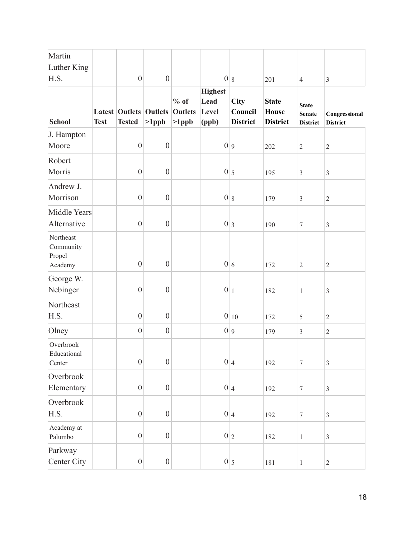| Martin                                      |             |                  |                                           |                                      |                                          |                                    |                                                 |                                                  |                                  |
|---------------------------------------------|-------------|------------------|-------------------------------------------|--------------------------------------|------------------------------------------|------------------------------------|-------------------------------------------------|--------------------------------------------------|----------------------------------|
| Luther King                                 |             |                  |                                           |                                      |                                          |                                    |                                                 |                                                  |                                  |
| H.S.                                        |             | $\boldsymbol{0}$ | $\boldsymbol{0}$                          |                                      |                                          | 0 8                                | 201                                             | $\overline{4}$                                   | $\mathfrak{Z}$                   |
| <b>School</b>                               | <b>Test</b> | <b>Tested</b>    | <b>Latest Outlets Outlets</b><br>$>1$ ppb | $%$ of<br><b>Outlets</b><br>$>1$ ppb | <b>Highest</b><br>Lead<br>Level<br>(ppb) | City<br>Council<br><b>District</b> | <b>State</b><br><b>House</b><br><b>District</b> | <b>State</b><br><b>Senate</b><br><b>District</b> | Congressional<br><b>District</b> |
| J. Hampton                                  |             |                  |                                           |                                      |                                          |                                    |                                                 |                                                  |                                  |
| Moore                                       |             | $\boldsymbol{0}$ | $\boldsymbol{0}$                          |                                      |                                          | 0 9                                | 202                                             | $\overline{2}$                                   | $\sqrt{2}$                       |
| Robert<br>Morris                            |             | $\boldsymbol{0}$ | $\boldsymbol{0}$                          |                                      |                                          | $0\vert_5$                         | 195                                             | $\overline{3}$                                   | $\mathfrak{Z}$                   |
| Andrew J.<br>Morrison                       |             | $\boldsymbol{0}$ | $\boldsymbol{0}$                          |                                      |                                          | 0 8                                | 179                                             | $\mathfrak{Z}$                                   | $\sqrt{2}$                       |
| Middle Years<br>Alternative                 |             | $\overline{0}$   | $\boldsymbol{0}$                          |                                      | 0 3                                      |                                    | 190                                             | 7                                                | $\mathfrak{Z}$                   |
| Northeast<br>Community<br>Propel<br>Academy |             | $\boldsymbol{0}$ | $\boldsymbol{0}$                          |                                      |                                          | 0 6                                | 172                                             | $\sqrt{2}$                                       | $\sqrt{2}$                       |
| George W.                                   |             |                  |                                           |                                      |                                          |                                    |                                                 |                                                  |                                  |
| Nebinger                                    |             | $\boldsymbol{0}$ | $\boldsymbol{0}$                          |                                      | 0 1                                      |                                    | 182                                             | $\mathbf{1}$                                     | $\mathfrak{Z}$                   |
| Northeast<br>H.S.                           |             | $\boldsymbol{0}$ | $\boldsymbol{0}$                          |                                      |                                          | $0 _{10}$                          | 172                                             | 5                                                | $\overline{2}$                   |
| Olney                                       |             | $\boldsymbol{0}$ | $\boldsymbol{0}$                          |                                      |                                          | 0 9                                | 179                                             | 3                                                | $\sqrt{2}$                       |
| Overbrook<br>Educational<br>Center          |             | $\boldsymbol{0}$ | $\boldsymbol{0}$                          |                                      |                                          | 0 4                                | 192                                             | $\overline{7}$                                   | $\mathfrak{Z}$                   |
| Overbrook<br>Elementary                     |             | $\boldsymbol{0}$ | $\boldsymbol{0}$                          |                                      |                                          | 0 4                                | 192                                             | $\boldsymbol{7}$                                 | $\overline{3}$                   |
| Overbrook<br>H.S.                           |             | $\boldsymbol{0}$ | $\boldsymbol{0}$                          |                                      |                                          | 0 4                                | 192                                             | $\boldsymbol{7}$                                 | $\mathfrak{Z}$                   |
| Academy at<br>Palumbo                       |             | $\boldsymbol{0}$ | $\boldsymbol{0}$                          |                                      |                                          | 0 2                                | 182                                             | $\mathbf{1}$                                     | $\overline{3}$                   |
| Parkway<br>Center City                      |             | $\boldsymbol{0}$ | $\boldsymbol{0}$                          |                                      |                                          | $0\vert_5$                         | 181                                             | $\mathbf{1}$                                     | $\sqrt{2}$                       |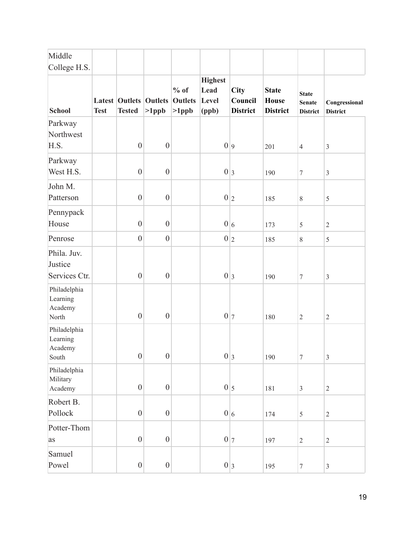| Middle                                       |             |                                        |                            |                                      |                                          |                                           |                                                 |                                                  |                                  |
|----------------------------------------------|-------------|----------------------------------------|----------------------------|--------------------------------------|------------------------------------------|-------------------------------------------|-------------------------------------------------|--------------------------------------------------|----------------------------------|
| College H.S.                                 |             |                                        |                            |                                      |                                          |                                           |                                                 |                                                  |                                  |
| <b>School</b>                                | <b>Test</b> | <b>Latest Outlets</b><br><b>Tested</b> | <b>Outlets</b><br>$>1$ ppb | $%$ of<br><b>Outlets</b><br>$>1$ ppb | <b>Highest</b><br>Lead<br>Level<br>(ppb) | <b>City</b><br>Council<br><b>District</b> | <b>State</b><br><b>House</b><br><b>District</b> | <b>State</b><br><b>Senate</b><br><b>District</b> | Congressional<br><b>District</b> |
| Parkway<br>Northwest<br>H.S.                 |             | $\boldsymbol{0}$                       | $\boldsymbol{0}$           |                                      | 0 9                                      |                                           | 201                                             | $\overline{4}$                                   | $\mathfrak{Z}$                   |
| Parkway<br>West H.S.                         |             | $\boldsymbol{0}$                       | $\boldsymbol{0}$           |                                      | 0 3                                      |                                           | 190                                             | $\boldsymbol{7}$                                 | $\mathfrak{Z}$                   |
| John M.<br>Patterson                         |             | $\boldsymbol{0}$                       | $\boldsymbol{0}$           |                                      | 0 2                                      |                                           | 185                                             | $8\,$                                            | $\sqrt{5}$                       |
| Pennypack<br>House                           |             | $\overline{0}$                         | $\boldsymbol{0}$           |                                      | 0 6                                      |                                           | 173                                             | 5                                                | $\overline{2}$                   |
| Penrose                                      |             | $\overline{0}$                         | $\boldsymbol{0}$           |                                      |                                          | 0 2                                       | 185                                             | $\,$ 8 $\,$                                      | 5                                |
| Phila. Juv.<br>Justice<br>Services Ctr.      |             | $\overline{0}$                         | $\boldsymbol{0}$           |                                      | 0 3                                      |                                           | 190                                             | $\tau$                                           | $\mathfrak{Z}$                   |
| Philadelphia<br>Learning<br>Academy<br>North |             | $\boldsymbol{0}$                       | $\boldsymbol{0}$           |                                      | 0 7                                      |                                           | 180                                             | $\sqrt{2}$                                       | $\overline{2}$                   |
| Philadelphia<br>Learning<br>Academy<br>South |             | $\boldsymbol{0}$                       | $\boldsymbol{0}$           |                                      |                                          | 0 3                                       | 190                                             | $\sqrt{ }$                                       | $\overline{3}$                   |
| Philadelphia<br>Military<br>Academy          |             | $\boldsymbol{0}$                       | $\boldsymbol{0}$           |                                      |                                          | $0\vert_5$                                | 181                                             | $\mathfrak{Z}$                                   | $\sqrt{2}$                       |
| Robert B.<br>Pollock                         |             | $\boldsymbol{0}$                       | $\boldsymbol{0}$           |                                      |                                          | 0 6                                       | 174                                             | $\sqrt{5}$                                       | $\sqrt{2}$                       |
| Potter-Thom<br>as                            |             | $\boldsymbol{0}$                       | $\boldsymbol{0}$           |                                      |                                          | $0\vert\tau$                              | 197                                             | $\sqrt{2}$                                       | $\sqrt{2}$                       |
| Samuel<br>Powel                              |             | $\boldsymbol{0}$                       | $\boldsymbol{0}$           |                                      |                                          | 0 3                                       | 195                                             | $\boldsymbol{7}$                                 | $\mathfrak{Z}$                   |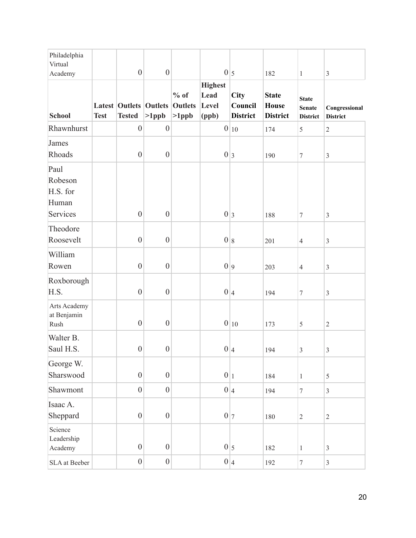| Philadelphia<br>Virtual                          |             |                                                |                  |                                      |                                          |                                           |                                                 |                                                  |                                  |
|--------------------------------------------------|-------------|------------------------------------------------|------------------|--------------------------------------|------------------------------------------|-------------------------------------------|-------------------------------------------------|--------------------------------------------------|----------------------------------|
| Academy                                          |             | $\boldsymbol{0}$                               | $\boldsymbol{0}$ |                                      | $0\vert_5$                               |                                           | 182                                             | $\mathbf{1}$                                     | $\mathfrak{Z}$                   |
| <b>School</b>                                    | <b>Test</b> | <b>Latest Outlets Outlets</b><br><b>Tested</b> | $>1$ ppb         | $%$ of<br><b>Outlets</b><br>$>1$ ppb | <b>Highest</b><br>Lead<br>Level<br>(ppb) | <b>City</b><br>Council<br><b>District</b> | <b>State</b><br><b>House</b><br><b>District</b> | <b>State</b><br><b>Senate</b><br><b>District</b> | Congressional<br><b>District</b> |
| Rhawnhurst                                       |             | $\boldsymbol{0}$                               | $\boldsymbol{0}$ |                                      |                                          | $0 _{10}$                                 | 174                                             | 5                                                | $\sqrt{2}$                       |
| James<br>Rhoads                                  |             | $\boldsymbol{0}$                               | $\boldsymbol{0}$ |                                      | 0 3                                      |                                           | 190                                             | $\boldsymbol{7}$                                 | $\mathfrak{Z}$                   |
| Paul<br>Robeson<br>H.S. for<br>Human<br>Services |             | $\boldsymbol{0}$                               | $\boldsymbol{0}$ |                                      | 0 3                                      |                                           | 188                                             | $\boldsymbol{7}$                                 | $\mathfrak{Z}$                   |
| Theodore<br>Roosevelt                            |             | $\overline{0}$                                 | $\boldsymbol{0}$ |                                      |                                          | 0 8                                       | 201                                             | $\overline{4}$                                   | $\mathfrak{Z}$                   |
| William<br>Rowen                                 |             | $\boldsymbol{0}$                               | $\boldsymbol{0}$ |                                      | 0 9                                      |                                           | 203                                             | $\overline{4}$                                   | $\mathfrak{Z}$                   |
| Roxborough<br>H.S.                               |             | $\boldsymbol{0}$                               | $\boldsymbol{0}$ |                                      | 0 4                                      |                                           | 194                                             | $\boldsymbol{7}$                                 | $\overline{3}$                   |
| Arts Academy<br>at Benjamin<br>Rush              |             | $\boldsymbol{0}$                               | $\boldsymbol{0}$ |                                      |                                          | $0 _{10}$                                 | 173                                             | 5                                                | $\sqrt{2}$                       |
| Walter B.<br>Saul H.S.                           |             | $\boldsymbol{0}$                               | $\boldsymbol{0}$ |                                      |                                          | 0 4                                       | 194                                             | $\sqrt{3}$                                       | $\mathfrak{Z}$                   |
| George W.<br>Sharswood                           |             | $\overline{0}$                                 | $\boldsymbol{0}$ |                                      | 0 1                                      |                                           | 184                                             | $\mathbf{1}$                                     | 5                                |
| Shawmont                                         |             | $\overline{0}$                                 | $\boldsymbol{0}$ |                                      |                                          | 0 4                                       | 194                                             | $\boldsymbol{7}$                                 | $\mathfrak{Z}$                   |
| Isaac A.<br>Sheppard                             |             | $\boldsymbol{0}$                               | $\boldsymbol{0}$ |                                      | 0 7                                      |                                           | 180                                             | $\sqrt{2}$                                       | $\sqrt{2}$                       |
| Science<br>Leadership<br>Academy                 |             | $\boldsymbol{0}$                               | $\boldsymbol{0}$ |                                      |                                          | $0\vert_5$                                | 182                                             | $\mathbf{1}$                                     | $\mathfrak{Z}$                   |
| SLA at Beeber                                    |             | $\boldsymbol{0}$                               | $\boldsymbol{0}$ |                                      |                                          | 0 4                                       | 192                                             | $\boldsymbol{7}$                                 | $\mathfrak{Z}$                   |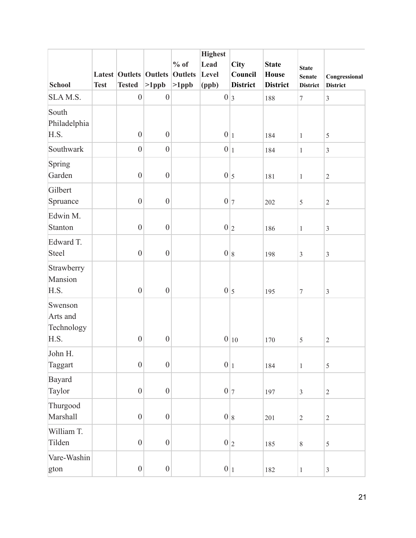|                                           |             |                  |                               |                | <b>Highest</b> |                 |                 |                  |                 |
|-------------------------------------------|-------------|------------------|-------------------------------|----------------|----------------|-----------------|-----------------|------------------|-----------------|
|                                           |             |                  |                               | $%$ of         | Lead           | <b>City</b>     | <b>State</b>    | <b>State</b>     |                 |
|                                           |             |                  | <b>Latest Outlets Outlets</b> | <b>Outlets</b> | Level          | Council         | <b>House</b>    | <b>Senate</b>    | Congressional   |
| <b>School</b>                             | <b>Test</b> | <b>Tested</b>    | $>1$ ppb                      | $>1$ ppb       | (ppb)          | <b>District</b> | <b>District</b> | <b>District</b>  | <b>District</b> |
| SLAM.S.                                   |             | $\boldsymbol{0}$ | $\boldsymbol{0}$              |                | 0 3            |                 | 188             | $\boldsymbol{7}$ | $\mathfrak{Z}$  |
| South<br>Philadelphia<br>H.S.             |             | $\boldsymbol{0}$ | $\boldsymbol{0}$              |                | $0 _1$         |                 | 184             | $\mathbf{1}$     | 5               |
| Southwark                                 |             | $\boldsymbol{0}$ | $\boldsymbol{0}$              |                | 0 1            |                 | 184             | $\mathbf{1}$     | $\mathfrak{Z}$  |
| Spring<br>Garden                          |             | $\overline{0}$   | $\boldsymbol{0}$              |                | $0\vert_5$     |                 | 181             | $\,1$            | $\sqrt{2}$      |
| Gilbert<br>Spruance                       |             | $\boldsymbol{0}$ | $\boldsymbol{0}$              |                | $0\vert\tau$   |                 | 202             | $\sqrt{5}$       | $\sqrt{2}$      |
| Edwin M.<br>Stanton                       |             | $\boldsymbol{0}$ | $\boldsymbol{0}$              |                | 0 2            |                 | 186             | $\mathbf{1}$     | $\mathfrak{Z}$  |
| Edward T.<br>Steel                        |             | $\boldsymbol{0}$ | $\boldsymbol{0}$              |                | 0 8            |                 | 198             | $\mathfrak{Z}$   | $\mathfrak{Z}$  |
| Strawberry<br>Mansion<br>H.S.             |             | $\boldsymbol{0}$ | $\boldsymbol{0}$              |                | $0\vert_5$     |                 | 195             | $\tau$           | $\mathfrak{Z}$  |
| Swenson<br>Arts and<br>Technology<br>H.S. |             | $\boldsymbol{0}$ | $\boldsymbol{0}$              |                |                | $0 _{10}$       | 170             | 5                | $\sqrt{2}$      |
| John H.<br>Taggart                        |             | $\boldsymbol{0}$ | $\boldsymbol{0}$              |                | 0 1            |                 | 184             | $\,1$            | $\sqrt{5}$      |
| Bayard<br>Taylor                          |             | $\boldsymbol{0}$ | $\boldsymbol{0}$              |                |                | $0\vert\tau$    | 197             | $\mathfrak{Z}$   | $\overline{2}$  |
| Thurgood<br>Marshall                      |             | $\boldsymbol{0}$ | $\boldsymbol{0}$              |                | 0 8            |                 | 201             | $\overline{2}$   | $\sqrt{2}$      |
| William T.<br>Tilden                      |             | $\boldsymbol{0}$ | $\boldsymbol{0}$              |                |                | $0\vert_2$      | 185             | $\,8\,$          | 5               |
| Vare-Washin<br>gton                       |             | $\boldsymbol{0}$ | $\boldsymbol{0}$              |                | 0 1            |                 | 182             | $\mathbf{1}$     | $\mathfrak{Z}$  |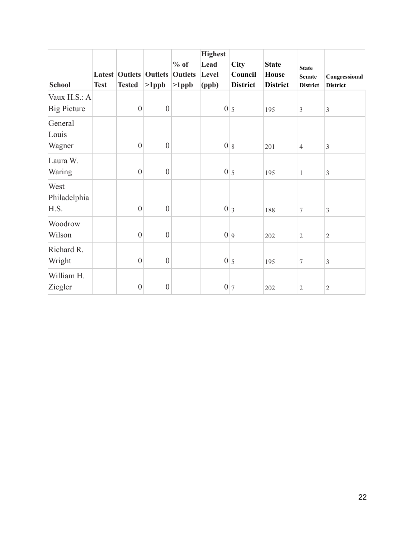| <b>School</b>                      | <b>Test</b> | <b>Tested</b>    | <b>Latest Outlets Outlets</b><br>$>1$ ppb | $%$ of<br><b>Outlets</b><br>$>1$ ppb | <b>Highest</b><br>Lead<br>Level<br>(ppb) | <b>City</b><br>Council<br><b>District</b> | <b>State</b><br><b>House</b><br><b>District</b> | <b>State</b><br><b>Senate</b><br><b>District</b> | Congressional<br><b>District</b> |
|------------------------------------|-------------|------------------|-------------------------------------------|--------------------------------------|------------------------------------------|-------------------------------------------|-------------------------------------------------|--------------------------------------------------|----------------------------------|
| Vaux H.S.: A<br><b>Big Picture</b> |             | $\overline{0}$   | $\boldsymbol{0}$                          |                                      |                                          | $0\vert_5$                                | 195                                             | $\mathfrak{Z}$                                   | $\mathfrak{Z}$                   |
| General<br>Louis<br>Wagner         |             | $\boldsymbol{0}$ | $\boldsymbol{0}$                          |                                      |                                          | 0 8                                       | 201                                             | $\overline{4}$                                   | $\mathfrak{Z}$                   |
| Laura W.<br>Waring                 |             | $\boldsymbol{0}$ | $\boldsymbol{0}$                          |                                      |                                          | $0\vert_5$                                | 195                                             | $\mathbf{1}$                                     | $\overline{3}$                   |
| West<br>Philadelphia<br>H.S.       |             | $\overline{0}$   | $\boldsymbol{0}$                          |                                      |                                          | 0 3                                       | 188                                             | $\tau$                                           | $\mathfrak{Z}$                   |
| Woodrow<br>Wilson                  |             | $\overline{0}$   | $\boldsymbol{0}$                          |                                      |                                          | 0 9                                       | 202                                             | $\overline{2}$                                   | $\sqrt{2}$                       |
| Richard R.<br>Wright               |             | $\boldsymbol{0}$ | $\boldsymbol{0}$                          |                                      |                                          | $0\vert_5$                                | 195                                             | $\overline{7}$                                   | $\mathfrak{Z}$                   |
| William H.<br>Ziegler              |             | $\boldsymbol{0}$ | $\boldsymbol{0}$                          |                                      | $\boldsymbol{0}$                         | 7                                         | 202                                             | $\sqrt{2}$                                       | $\sqrt{2}$                       |